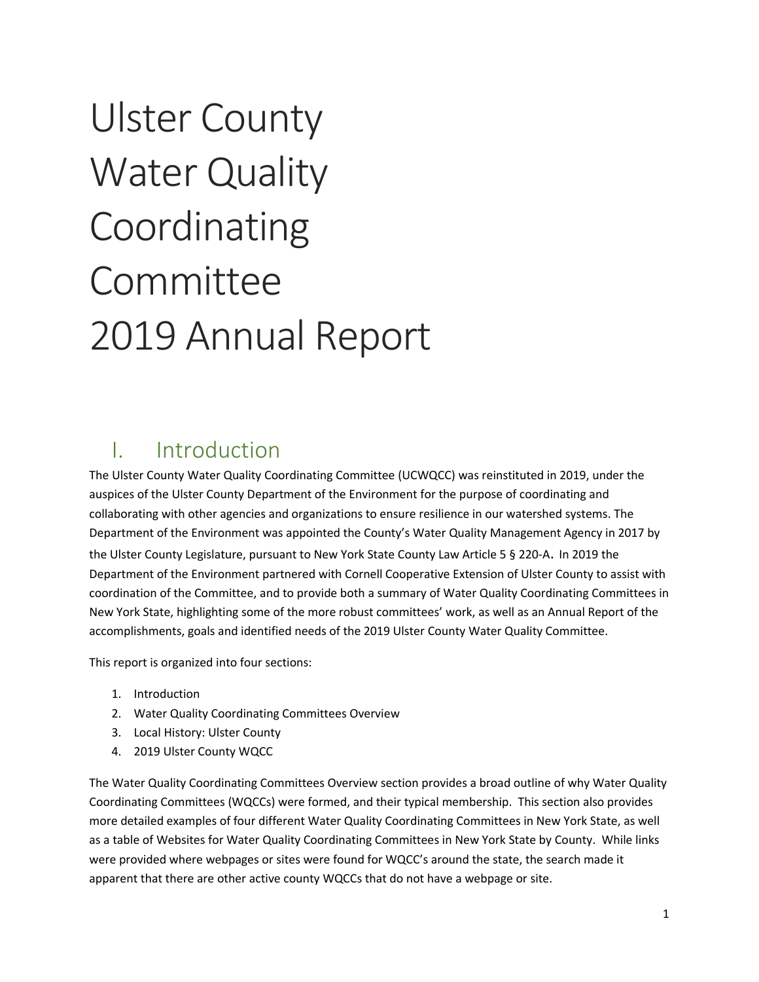# Ulster County Water Quality Coordinating Committee 2019 Annual Report

### I. Introduction

The Ulster County Water Quality Coordinating Committee (UCWQCC) was reinstituted in 2019, under the auspices of the Ulster County Department of the Environment for the purpose of coordinating and collaborating with other agencies and organizations to ensure resilience in our watershed systems. The Department of the Environment was appointed the County's Water Quality Management Agency in 2017 by the Ulster County Legislature, pursuant to New York State County Law Article 5 § 220-A. In 2019 the Department of the Environment partnered with Cornell Cooperative Extension of Ulster County to assist with coordination of the Committee, and to provide both a summary of Water Quality Coordinating Committees in New York State, highlighting some of the more robust committees' work, as well as an Annual Report of the accomplishments, goals and identified needs of the 2019 Ulster County Water Quality Committee.

This report is organized into four sections:

- 1. Introduction
- 2. Water Quality Coordinating Committees Overview
- 3. Local History: Ulster County
- 4. 2019 Ulster County WQCC

The Water Quality Coordinating Committees Overview section provides a broad outline of why Water Quality Coordinating Committees (WQCCs) were formed, and their typical membership. This section also provides more detailed examples of four different Water Quality Coordinating Committees in New York State, as well as a table of Websites for Water Quality Coordinating Committees in New York State by County. While links were provided where webpages or sites were found for WQCC's around the state, the search made it apparent that there are other active county WQCCs that do not have a webpage or site.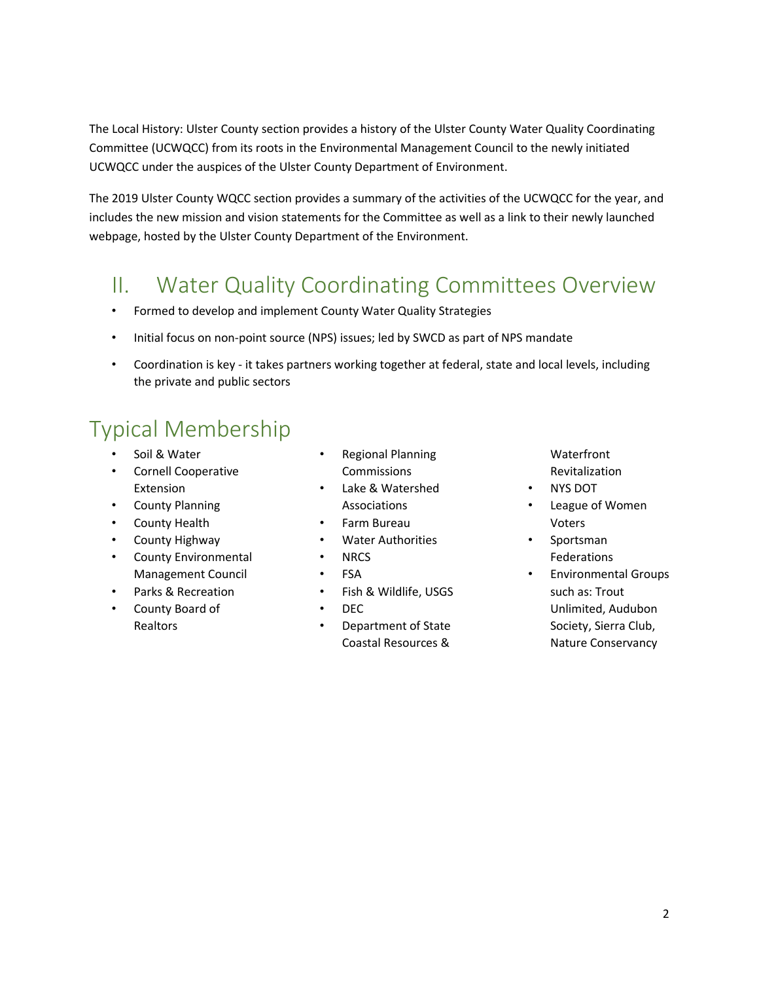The Local History: Ulster County section provides a history of the Ulster County Water Quality Coordinating Committee (UCWQCC) from its roots in the Environmental Management Council to the newly initiated UCWQCC under the auspices of the Ulster County Department of Environment.

The 2019 Ulster County WQCC section provides a summary of the activities of the UCWQCC for the year, and includes the new mission and vision statements for the Committee as well as a link to their newly launched webpage, hosted by the Ulster County Department of the Environment.

### II. Water Quality Coordinating Committees Overview

- Formed to develop and implement County Water Quality Strategies
- Initial focus on non-point source (NPS) issues; led by SWCD as part of NPS mandate
- Coordination is key it takes partners working together at federal, state and local levels, including the private and public sectors

# Typical Membership

- Soil & Water
- Cornell Cooperative Extension
- County Planning
- County Health
- County Highway
- County Environmental Management Council
- Parks & Recreation
- County Board of Realtors
- Regional Planning Commissions
- Lake & Watershed Associations
- Farm Bureau
- Water Authorities
- NRCS
- FSA
- Fish & Wildlife, USGS
- DEC
- Department of State Coastal Resources &

Waterfront Revitalization

- NYS DOT
- League of Women Voters
- Sportsman Federations
- Environmental Groups such as: Trout Unlimited, Audubon Society, Sierra Club, Nature Conservancy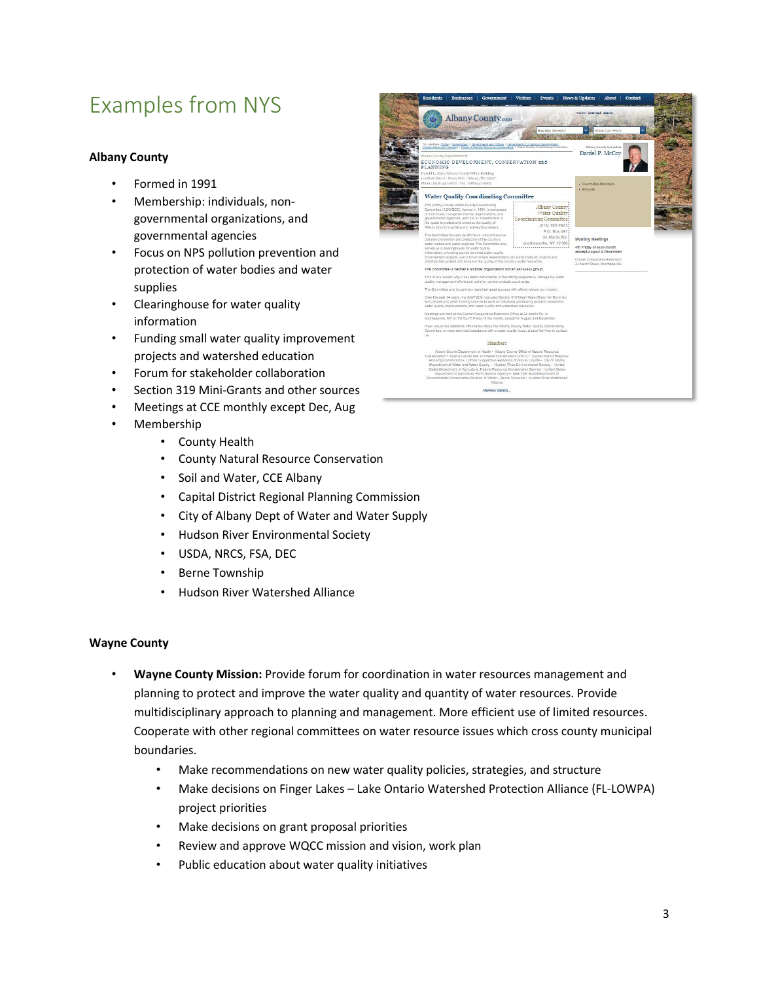## Examples from NYS

#### **Albany County**

- Formed in 1991
- Membership: individuals, nongovernmental organizations, and governmental agencies
- Focus on NPS pollution prevention and protection of water bodies and water supplies
- Clearinghouse for water quality information
- Funding small water quality improvement projects and watershed education
- Forum for stakeholder collaboration
- Section 319 Mini-Grants and other sources
- Meetings at CCE monthly except Dec, Aug
- Membership
	- County Health
	- County Natural Resource Conservation
	- Soil and Water, CCE Albany
	- Capital District Regional Planning Commission
	- City of Albany Dept of Water and Water Supply
	- Hudson River Environmental Society
	- USDA, NRCS, FSA, DEC
	- Berne Township
	- Hudson River Watershed Alliance

#### **Wayne County**

- **Wayne County Mission:** Provide forum for coordination in water resources management and planning to protect and improve the water quality and quantity of water resources. Provide multidisciplinary approach to planning and management. More efficient use of limited resources. Cooperate with other regional committees on water resource issues which cross county municipal boundaries.
	- Make recommendations on new water quality policies, strategies, and structure
	- Make decisions on Finger Lakes Lake Ontario Watershed Protection Alliance (FL-LOWPA) project priorities
	- Make decisions on grant proposal priorities
	- Review and approve WQCC mission and vision, work plan
	- Public education about water quality initiatives

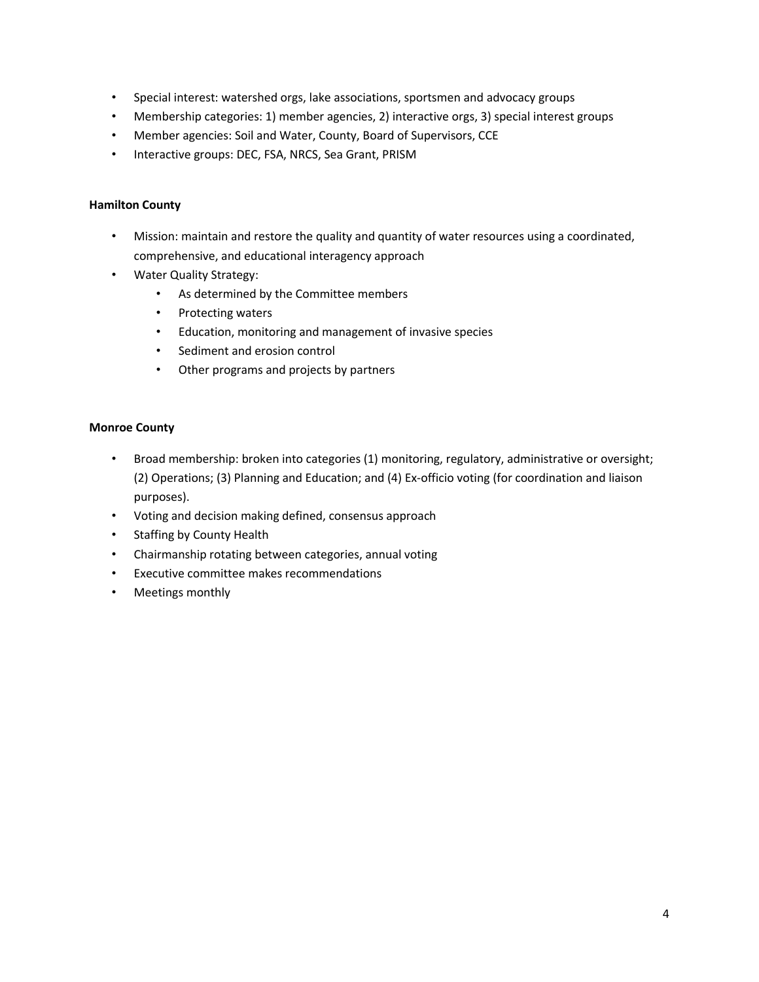- Special interest: watershed orgs, lake associations, sportsmen and advocacy groups
- Membership categories: 1) member agencies, 2) interactive orgs, 3) special interest groups
- Member agencies: Soil and Water, County, Board of Supervisors, CCE
- Interactive groups: DEC, FSA, NRCS, Sea Grant, PRISM

#### **Hamilton County**

- Mission: maintain and restore the quality and quantity of water resources using a coordinated, comprehensive, and educational interagency approach
- Water Quality Strategy:
	- As determined by the Committee members
	- Protecting waters
	- Education, monitoring and management of invasive species
	- Sediment and erosion control
	- Other programs and projects by partners

#### **Monroe County**

- Broad membership: broken into categories (1) monitoring, regulatory, administrative or oversight; (2) Operations; (3) Planning and Education; and (4) Ex-officio voting (for coordination and liaison purposes).
- Voting and decision making defined, consensus approach
- Staffing by County Health
- Chairmanship rotating between categories, annual voting
- Executive committee makes recommendations
- Meetings monthly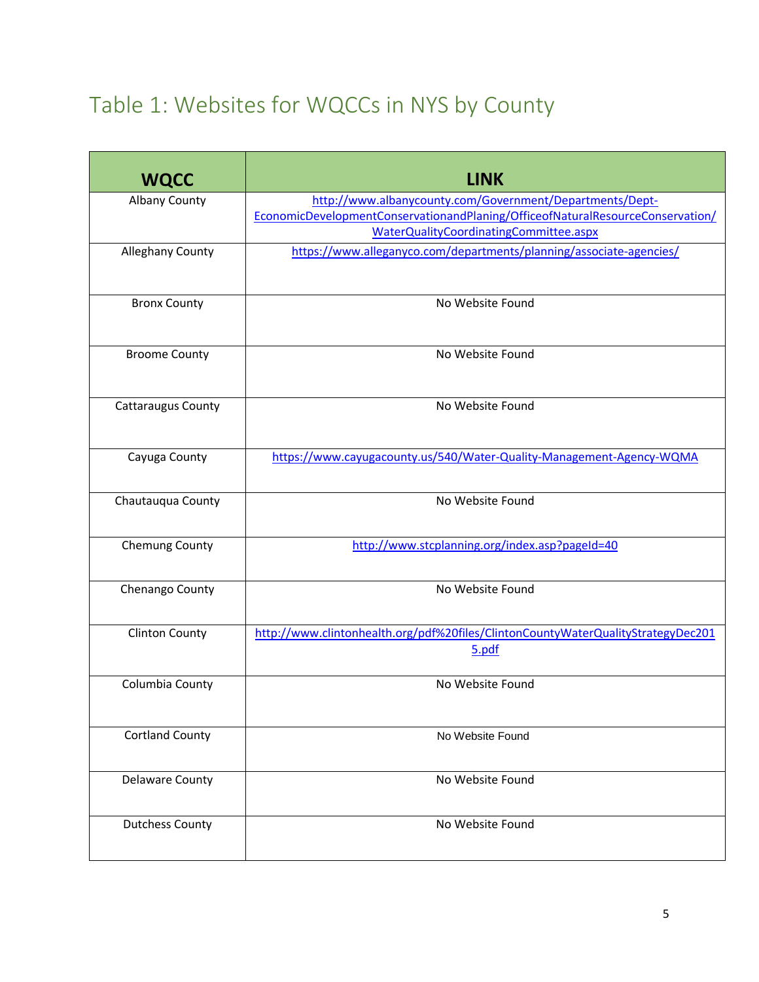# Table 1: Websites for WQCCs in NYS by County

| <b>WQCC</b>               | <b>LINK</b>                                                                                                                                                                          |
|---------------------------|--------------------------------------------------------------------------------------------------------------------------------------------------------------------------------------|
| <b>Albany County</b>      | http://www.albanycounty.com/Government/Departments/Dept-<br>EconomicDevelopmentConservationandPlaning/OfficeofNaturalResourceConservation/<br>WaterQualityCoordinatingCommittee.aspx |
| <b>Alleghany County</b>   | https://www.alleganyco.com/departments/planning/associate-agencies/                                                                                                                  |
| <b>Bronx County</b>       | No Website Found                                                                                                                                                                     |
| <b>Broome County</b>      | No Website Found                                                                                                                                                                     |
| <b>Cattaraugus County</b> | No Website Found                                                                                                                                                                     |
| Cayuga County             | https://www.cayugacounty.us/540/Water-Quality-Management-Agency-WQMA                                                                                                                 |
| Chautauqua County         | No Website Found                                                                                                                                                                     |
| Chemung County            | http://www.stcplanning.org/index.asp?pageId=40                                                                                                                                       |
| Chenango County           | No Website Found                                                                                                                                                                     |
| <b>Clinton County</b>     | http://www.clintonhealth.org/pdf%20files/ClintonCountyWaterQualityStrategyDec201<br>5.pdf                                                                                            |
| Columbia County           | No Website Found                                                                                                                                                                     |
| <b>Cortland County</b>    | No Website Found                                                                                                                                                                     |
| Delaware County           | No Website Found                                                                                                                                                                     |
| <b>Dutchess County</b>    | No Website Found                                                                                                                                                                     |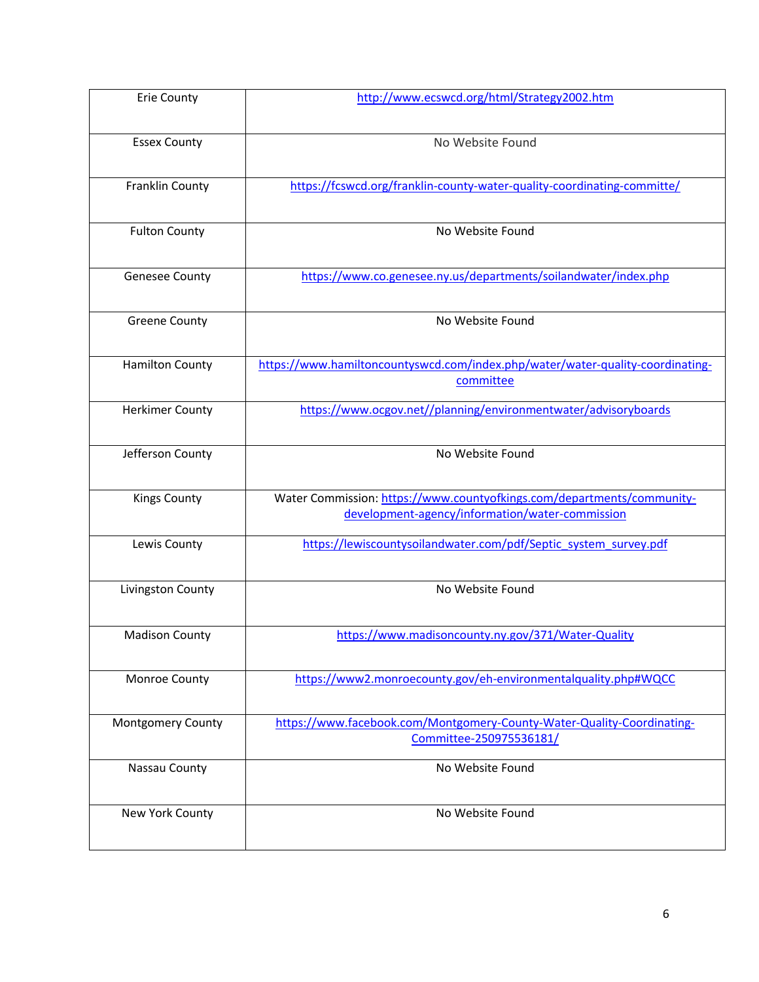| Erie County            | http://www.ecswcd.org/html/Strategy2002.htm                                                                               |
|------------------------|---------------------------------------------------------------------------------------------------------------------------|
| <b>Essex County</b>    | No Website Found                                                                                                          |
| Franklin County        | https://fcswcd.org/franklin-county-water-quality-coordinating-committe/                                                   |
| <b>Fulton County</b>   | No Website Found                                                                                                          |
| <b>Genesee County</b>  | https://www.co.genesee.ny.us/departments/soilandwater/index.php                                                           |
| <b>Greene County</b>   | No Website Found                                                                                                          |
| <b>Hamilton County</b> | https://www.hamiltoncountyswcd.com/index.php/water/water-quality-coordinating-<br>committee                               |
| <b>Herkimer County</b> | https://www.ocgov.net//planning/environmentwater/advisoryboards                                                           |
| Jefferson County       | No Website Found                                                                                                          |
| <b>Kings County</b>    | Water Commission: https://www.countyofkings.com/departments/community-<br>development-agency/information/water-commission |
| Lewis County           | https://lewiscountysoilandwater.com/pdf/Septic system survey.pdf                                                          |
| Livingston County      | No Website Found                                                                                                          |
| <b>Madison County</b>  | https://www.madisoncounty.ny.gov/371/Water-Quality                                                                        |
| Monroe County          | https://www2.monroecounty.gov/eh-environmentalquality.php#WQCC                                                            |
| Montgomery County      | https://www.facebook.com/Montgomery-County-Water-Quality-Coordinating-<br>Committee-250975536181/                         |
| Nassau County          | No Website Found                                                                                                          |
| New York County        | No Website Found                                                                                                          |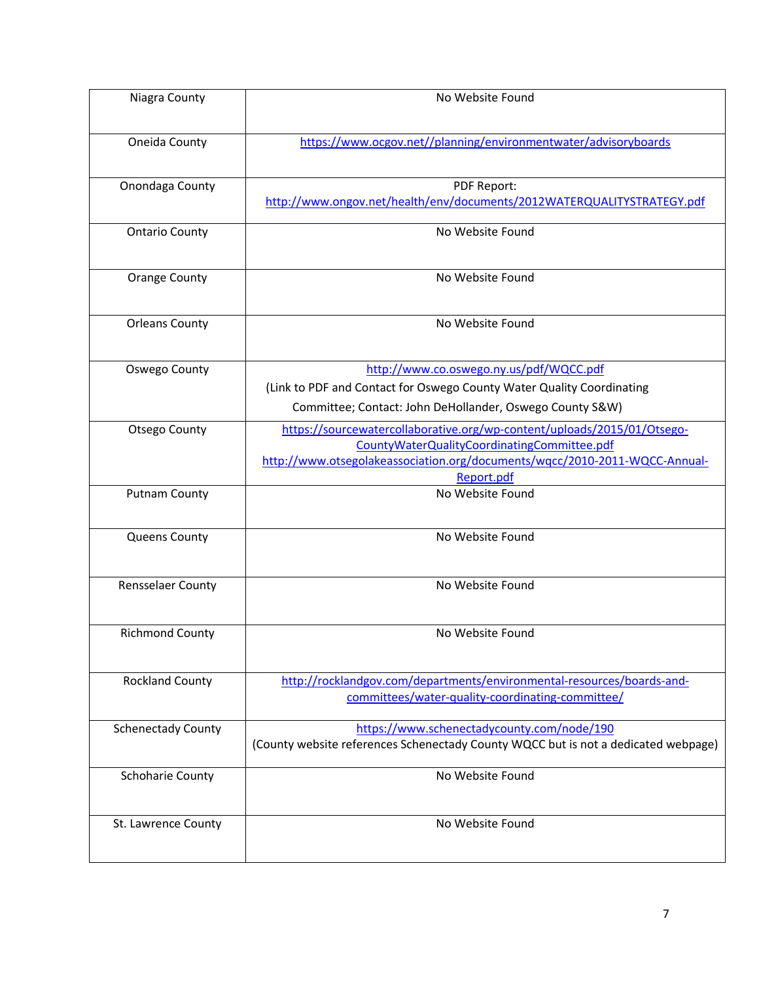| Niagra County             | No Website Found                                                                                                                                                                                                   |
|---------------------------|--------------------------------------------------------------------------------------------------------------------------------------------------------------------------------------------------------------------|
| Oneida County             | https://www.ocgov.net//planning/environmentwater/advisoryboards                                                                                                                                                    |
| Onondaga County           | PDF Report:<br>http://www.ongov.net/health/env/documents/2012WATERQUALITYSTRATEGY.pdf                                                                                                                              |
| <b>Ontario County</b>     | No Website Found                                                                                                                                                                                                   |
| <b>Orange County</b>      | No Website Found                                                                                                                                                                                                   |
| <b>Orleans County</b>     | No Website Found                                                                                                                                                                                                   |
| Oswego County             | http://www.co.oswego.ny.us/pdf/WQCC.pdf<br>(Link to PDF and Contact for Oswego County Water Quality Coordinating<br>Committee; Contact: John DeHollander, Oswego County S&W)                                       |
| <b>Otsego County</b>      | https://sourcewatercollaborative.org/wp-content/uploads/2015/01/Otsego-<br>CountyWaterQualityCoordinatingCommittee.pdf<br>http://www.otsegolakeassociation.org/documents/wqcc/2010-2011-WQCC-Annual-<br>Report.pdf |
| <b>Putnam County</b>      | No Website Found                                                                                                                                                                                                   |
| Queens County             | No Website Found                                                                                                                                                                                                   |
| Rensselaer County         | No Website Found                                                                                                                                                                                                   |
| <b>Richmond County</b>    | No Website Found                                                                                                                                                                                                   |
| <b>Rockland County</b>    | http://rocklandgov.com/departments/environmental-resources/boards-and-<br>committees/water-quality-coordinating-committee/                                                                                         |
| <b>Schenectady County</b> | https://www.schenectadycounty.com/node/190<br>(County website references Schenectady County WQCC but is not a dedicated webpage)                                                                                   |
| Schoharie County          | No Website Found                                                                                                                                                                                                   |
| St. Lawrence County       | No Website Found                                                                                                                                                                                                   |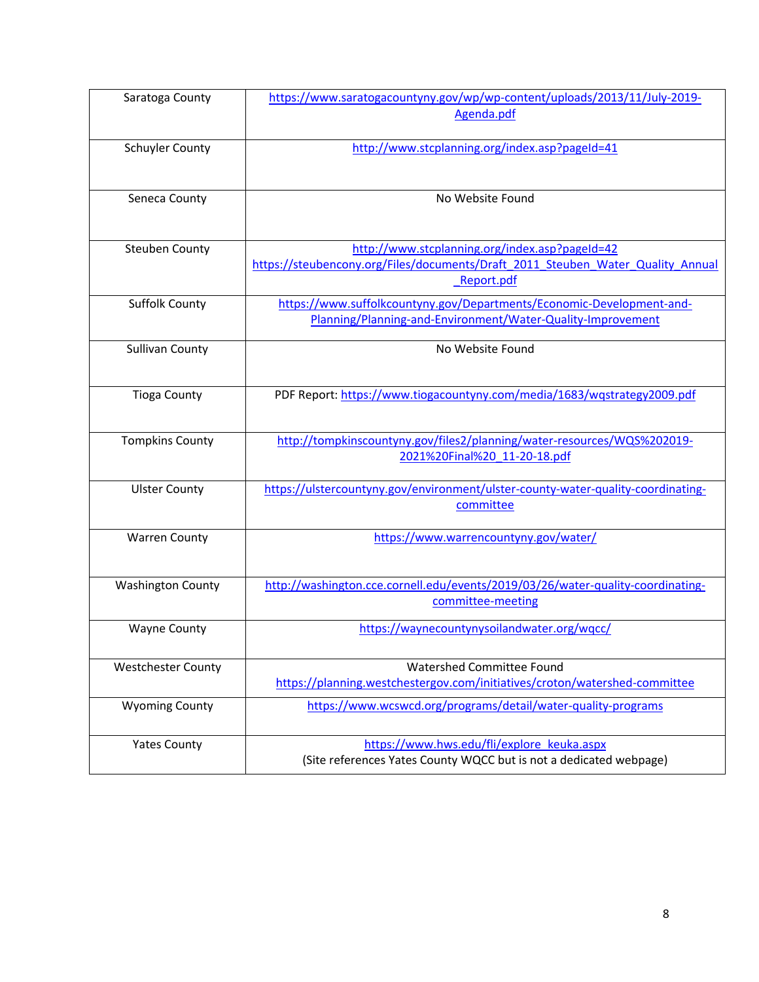| Saratoga County           | https://www.saratogacountyny.gov/wp/wp-content/uploads/2013/11/July-2019-<br>Agenda.pdf                                              |
|---------------------------|--------------------------------------------------------------------------------------------------------------------------------------|
| <b>Schuyler County</b>    | http://www.stcplanning.org/index.asp?pageId=41                                                                                       |
|                           |                                                                                                                                      |
| Seneca County             | No Website Found                                                                                                                     |
| <b>Steuben County</b>     | http://www.stcplanning.org/index.asp?pageId=42                                                                                       |
|                           | https://steubencony.org/Files/documents/Draft 2011 Steuben Water Quality Annual<br>Report.pdf                                        |
| <b>Suffolk County</b>     | https://www.suffolkcountyny.gov/Departments/Economic-Development-and-<br>Planning/Planning-and-Environment/Water-Quality-Improvement |
| <b>Sullivan County</b>    | No Website Found                                                                                                                     |
| <b>Tioga County</b>       | PDF Report: https://www.tiogacountyny.com/media/1683/wqstrategy2009.pdf                                                              |
| <b>Tompkins County</b>    | http://tompkinscountyny.gov/files2/planning/water-resources/WQS%202019-<br>2021%20Final%20 11-20-18.pdf                              |
| <b>Ulster County</b>      | https://ulstercountyny.gov/environment/ulster-county-water-quality-coordinating-<br>committee                                        |
| <b>Warren County</b>      | https://www.warrencountyny.gov/water/                                                                                                |
| <b>Washington County</b>  | http://washington.cce.cornell.edu/events/2019/03/26/water-quality-coordinating-<br>committee-meeting                                 |
| <b>Wayne County</b>       | https://waynecountynysoilandwater.org/wqcc/                                                                                          |
| <b>Westchester County</b> | Watershed Committee Found<br>https://planning.westchestergov.com/initiatives/croton/watershed-committee                              |
| <b>Wyoming County</b>     | https://www.wcswcd.org/programs/detail/water-quality-programs                                                                        |
| <b>Yates County</b>       | https://www.hws.edu/fli/explore_keuka.aspx<br>(Site references Yates County WQCC but is not a dedicated webpage)                     |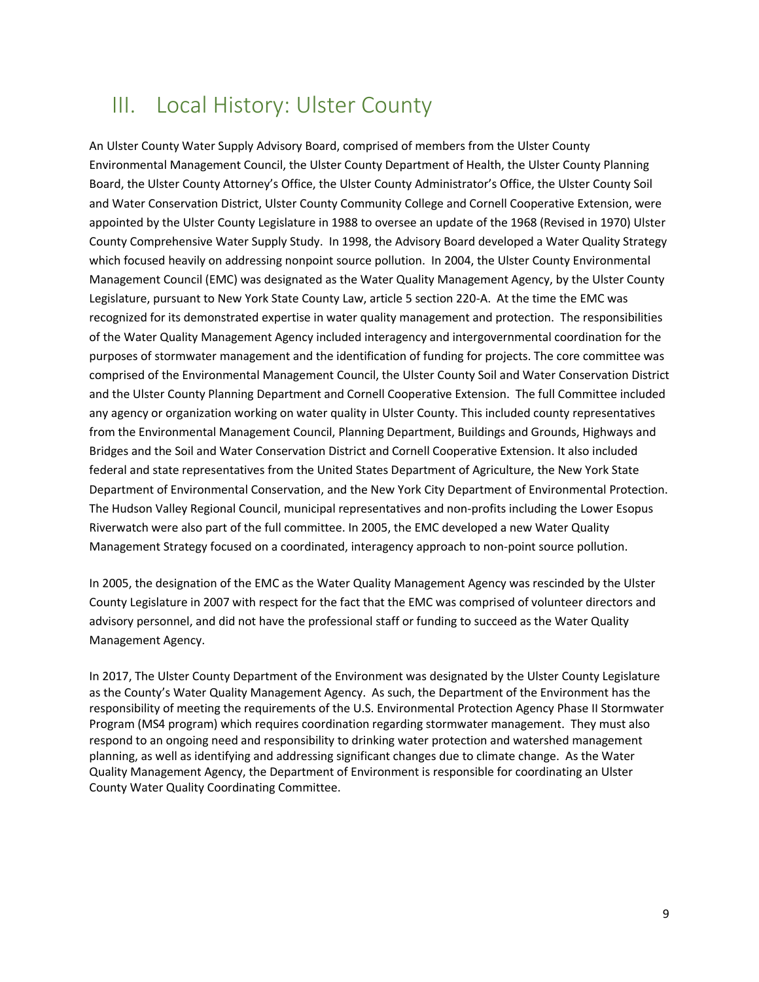### III. Local History: Ulster County

An Ulster County Water Supply Advisory Board, comprised of members from the Ulster County Environmental Management Council, the Ulster County Department of Health, the Ulster County Planning Board, the Ulster County Attorney's Office, the Ulster County Administrator's Office, the Ulster County Soil and Water Conservation District, Ulster County Community College and Cornell Cooperative Extension, were appointed by the Ulster County Legislature in 1988 to oversee an update of the 1968 (Revised in 1970) Ulster County Comprehensive Water Supply Study. In 1998, the Advisory Board developed a Water Quality Strategy which focused heavily on addressing nonpoint source pollution. In 2004, the Ulster County Environmental Management Council (EMC) was designated as the Water Quality Management Agency, by the Ulster County Legislature, pursuant to New York State County Law, article 5 section 220-A. At the time the EMC was recognized for its demonstrated expertise in water quality management and protection. The responsibilities of the Water Quality Management Agency included interagency and intergovernmental coordination for the purposes of stormwater management and the identification of funding for projects. The core committee was comprised of the Environmental Management Council, the Ulster County Soil and Water Conservation District and the Ulster County Planning Department and Cornell Cooperative Extension. The full Committee included any agency or organization working on water quality in Ulster County. This included county representatives from the Environmental Management Council, Planning Department, Buildings and Grounds, Highways and Bridges and the Soil and Water Conservation District and Cornell Cooperative Extension. It also included federal and state representatives from the United States Department of Agriculture, the New York State Department of Environmental Conservation, and the New York City Department of Environmental Protection. The Hudson Valley Regional Council, municipal representatives and non-profits including the Lower Esopus Riverwatch were also part of the full committee. In 2005, the EMC developed a new Water Quality Management Strategy focused on a coordinated, interagency approach to non-point source pollution.

In 2005, the designation of the EMC as the Water Quality Management Agency was rescinded by the Ulster County Legislature in 2007 with respect for the fact that the EMC was comprised of volunteer directors and advisory personnel, and did not have the professional staff or funding to succeed as the Water Quality Management Agency.

In 2017, The Ulster County Department of the Environment was designated by the Ulster County Legislature as the County's Water Quality Management Agency. As such, the Department of the Environment has the responsibility of meeting the requirements of the U.S. Environmental Protection Agency Phase II Stormwater Program (MS4 program) which requires coordination regarding stormwater management. They must also respond to an ongoing need and responsibility to drinking water protection and watershed management planning, as well as identifying and addressing significant changes due to climate change. As the Water Quality Management Agency, the Department of Environment is responsible for coordinating an Ulster County Water Quality Coordinating Committee.